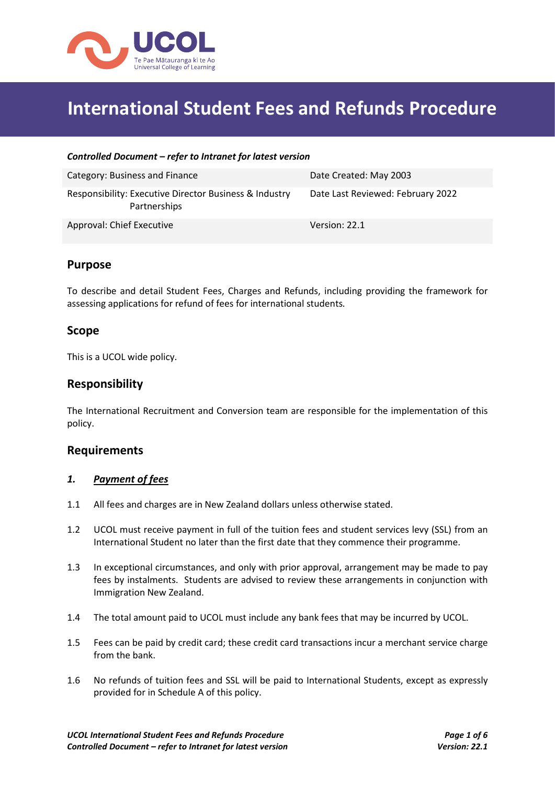

# **International Student Fees and Refunds Procedure**

#### *Controlled Document – refer to Intranet for latest version*

| Category: Business and Finance                                         | Date Created: May 2003            |
|------------------------------------------------------------------------|-----------------------------------|
| Responsibility: Executive Director Business & Industry<br>Partnerships | Date Last Reviewed: February 2022 |
| Approval: Chief Executive                                              | Version: 22.1                     |

# **Purpose**

To describe and detail Student Fees, Charges and Refunds, including providing the framework for assessing applications for refund of fees for international students*.*

# **Scope**

This is a UCOL wide policy.

# **Responsibility**

The International Recruitment and Conversion team are responsible for the implementation of this policy.

#### **Requirements**

#### *1. Payment of fees*

- 1.1 All fees and charges are in New Zealand dollars unless otherwise stated.
- 1.2 UCOL must receive payment in full of the tuition fees and student services levy (SSL) from an International Student no later than the first date that they commence their programme.
- 1.3 In exceptional circumstances, and only with prior approval, arrangement may be made to pay fees by instalments. Students are advised to review these arrangements in conjunction with Immigration New Zealand.
- 1.4 The total amount paid to UCOL must include any bank fees that may be incurred by UCOL.
- 1.5 Fees can be paid by credit card; these credit card transactions incur a merchant service charge from the bank.
- 1.6 No refunds of tuition fees and SSL will be paid to International Students, except as expressly provided for in Schedule A of this policy.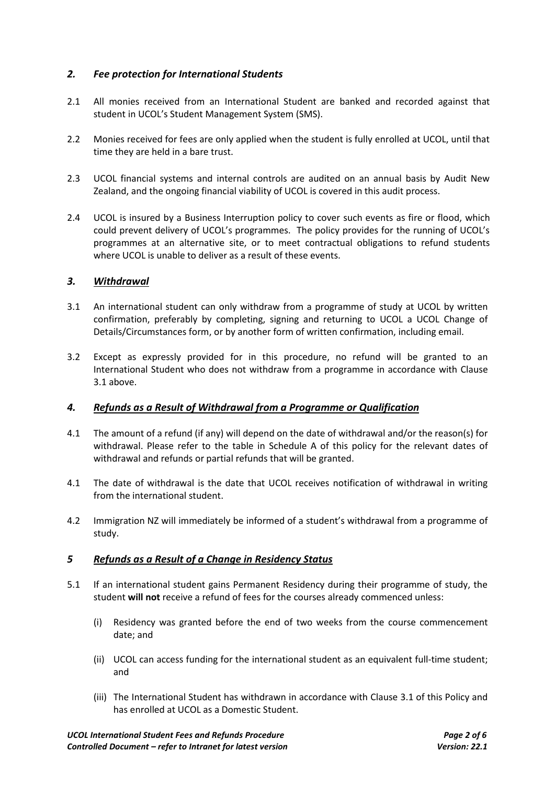# *2. Fee protection for International Students*

- 2.1 All monies received from an International Student are banked and recorded against that student in UCOL's Student Management System (SMS).
- 2.2 Monies received for fees are only applied when the student is fully enrolled at UCOL, until that time they are held in a bare trust.
- 2.3 UCOL financial systems and internal controls are audited on an annual basis by Audit New Zealand, and the ongoing financial viability of UCOL is covered in this audit process.
- 2.4 UCOL is insured by a Business Interruption policy to cover such events as fire or flood, which could prevent delivery of UCOL's programmes. The policy provides for the running of UCOL's programmes at an alternative site, or to meet contractual obligations to refund students where UCOL is unable to deliver as a result of these events.

#### *3. Withdrawal*

- 3.1 An international student can only withdraw from a programme of study at UCOL by written confirmation, preferably by completing, signing and returning to UCOL a UCOL Change of Details/Circumstances form, or by another form of written confirmation, including email.
- 3.2 Except as expressly provided for in this procedure, no refund will be granted to an International Student who does not withdraw from a programme in accordance with Clause 3.1 above.

#### *4. Refunds as a Result of Withdrawal from a Programme or Qualification*

- 4.1 The amount of a refund (if any) will depend on the date of withdrawal and/or the reason(s) for withdrawal. Please refer to the table in Schedule A of this policy for the relevant dates of withdrawal and refunds or partial refunds that will be granted.
- 4.1 The date of withdrawal is the date that UCOL receives notification of withdrawal in writing from the international student.
- 4.2 Immigration NZ will immediately be informed of a student's withdrawal from a programme of study.

#### *5 Refunds as a Result of a Change in Residency Status*

- 5.1 If an international student gains Permanent Residency during their programme of study, the student **will not** receive a refund of fees for the courses already commenced unless:
	- (i) Residency was granted before the end of two weeks from the course commencement date; and
	- (ii) UCOL can access funding for the international student as an equivalent full-time student; and
	- (iii) The International Student has withdrawn in accordance with Clause 3.1 of this Policy and has enrolled at UCOL as a Domestic Student.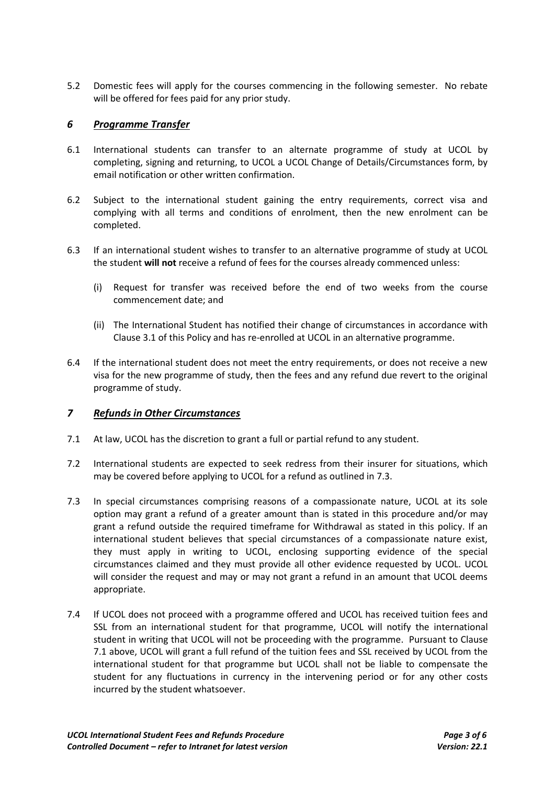5.2 Domestic fees will apply for the courses commencing in the following semester. No rebate will be offered for fees paid for any prior study.

# *6 Programme Transfer*

- 6.1 International students can transfer to an alternate programme of study at UCOL by completing, signing and returning, to UCOL a UCOL Change of Details/Circumstances form, by email notification or other written confirmation.
- 6.2 Subject to the international student gaining the entry requirements, correct visa and complying with all terms and conditions of enrolment, then the new enrolment can be completed.
- 6.3 If an international student wishes to transfer to an alternative programme of study at UCOL the student **will not** receive a refund of fees for the courses already commenced unless:
	- (i) Request for transfer was received before the end of two weeks from the course commencement date; and
	- (ii) The International Student has notified their change of circumstances in accordance with Clause 3.1 of this Policy and has re-enrolled at UCOL in an alternative programme.
- 6.4 If the international student does not meet the entry requirements, or does not receive a new visa for the new programme of study, then the fees and any refund due revert to the original programme of study.

#### *7 Refunds in Other Circumstances*

- 7.1 At law, UCOL has the discretion to grant a full or partial refund to any student.
- 7.2 International students are expected to seek redress from their insurer for situations, which may be covered before applying to UCOL for a refund as outlined in 7.3.
- 7.3 In special circumstances comprising reasons of a compassionate nature, UCOL at its sole option may grant a refund of a greater amount than is stated in this procedure and/or may grant a refund outside the required timeframe for Withdrawal as stated in this policy. If an international student believes that special circumstances of a compassionate nature exist, they must apply in writing to UCOL, enclosing supporting evidence of the special circumstances claimed and they must provide all other evidence requested by UCOL. UCOL will consider the request and may or may not grant a refund in an amount that UCOL deems appropriate.
- 7.4 If UCOL does not proceed with a programme offered and UCOL has received tuition fees and SSL from an international student for that programme, UCOL will notify the international student in writing that UCOL will not be proceeding with the programme. Pursuant to Clause 7.1 above, UCOL will grant a full refund of the tuition fees and SSL received by UCOL from the international student for that programme but UCOL shall not be liable to compensate the student for any fluctuations in currency in the intervening period or for any other costs incurred by the student whatsoever.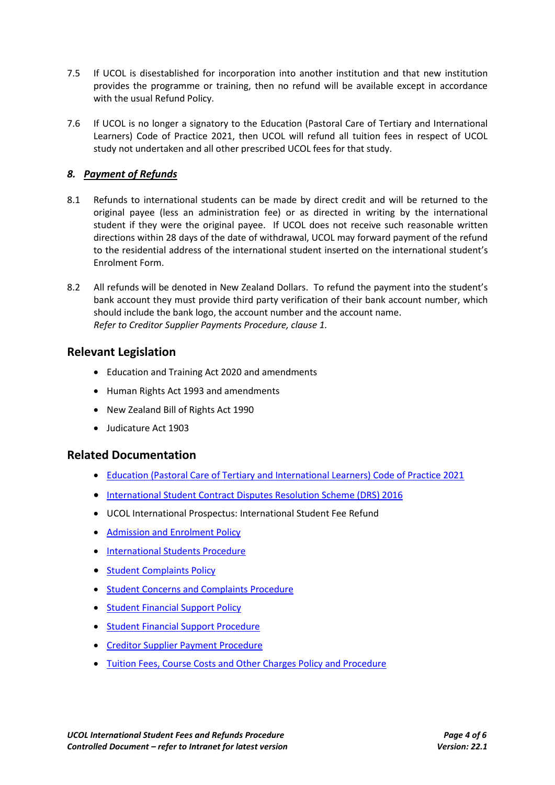- 7.5 If UCOL is disestablished for incorporation into another institution and that new institution provides the programme or training, then no refund will be available except in accordance with the usual Refund Policy.
- 7.6 If UCOL is no longer a signatory to the Education (Pastoral Care of Tertiary and International Learners) Code of Practice 2021, then UCOL will refund all tuition fees in respect of UCOL study not undertaken and all other prescribed UCOL fees for that study.

# *8. Payment of Refunds*

- 8.1 Refunds to international students can be made by direct credit and will be returned to the original payee (less an administration fee) or as directed in writing by the international student if they were the original payee. If UCOL does not receive such reasonable written directions within 28 days of the date of withdrawal, UCOL may forward payment of the refund to the residential address of the international student inserted on the international student's Enrolment Form.
- 8.2 All refunds will be denoted in New Zealand Dollars. To refund the payment into the student's bank account they must provide third party verification of their bank account number, which should include the bank logo, the account number and the account name. *Refer to Creditor Supplier Payments Procedure, clause 1.*

# **Relevant Legislation**

- Education and Training Act 2020 and amendments
- Human Rights Act 1993 and amendments
- New Zealand Bill of Rights Act 1990
- Judicature Act 1903

# **Related Documentation**

- [Education \(Pastoral Care of Tertiary and International Learners\) Code of Practice 2021](https://www.nzqa.govt.nz/providers-partners/tertiary-and-international-learners-code/)
- [International Student Contract Disputes Resolution Scheme \(DRS\) 2016](http://legislation.govt.nz/regulation/public/2016/0042/latest/DLM6748715.html?search=ts_act%40bill%40regulation%40deemedreg_contract+dispute+resolution_resel_25_a&p=1)
- UCOL International Prospectus: International Student Fee Refund
- [Admission and Enrolment Policy](http://teams.ucol.ac.nz/business/corpsys/Official%20Documents/Admission%20and%20Enrolment%20Policy.pdf)
- **[International Students](http://teams.ucol.ac.nz/business/corpsys/Official%20Documents/International%20Students%20Procedure.pdf) Procedure**
- [Student Complaints Policy](http://teams.ucol.ac.nz/business/corpsys/Official%20Documents/Student%20Complaints%20Policy.pdf)
- **[Student Concerns and Complaints Procedure](http://teams.ucol.ac.nz/business/corpsys/Official%20Documents/Student%20Concerns%20and%20Complaints%20Procedure.pdf)**
- [Student Financial Support](http://teams.ucol.ac.nz/business/corpsys/Official%20Documents/Student%20Financial%20Support%20Policy.pdf) Policy
- **[Student Financial Support](http://teams.ucol.ac.nz/business/corpsys/Official%20Documents/Student%20Financial%20Support%20Procedure.pdf) Procedure**
- [Creditor Supplier Payment](http://teams.ucol.ac.nz/business/corpsys/Official%20Documents/Creditor%20Supplier%20Payment%20Procedure.pdf) Procedure
- [Tuition Fees, Course Costs and Other Charges Policy and Procedure](http://teams.ucol.ac.nz/business/corpsys/Official%20Documents/Tuition%20Fees,%20Course%20Costs%20and%20Other%20Charges%20Policy%20and%20Procedure.pdf)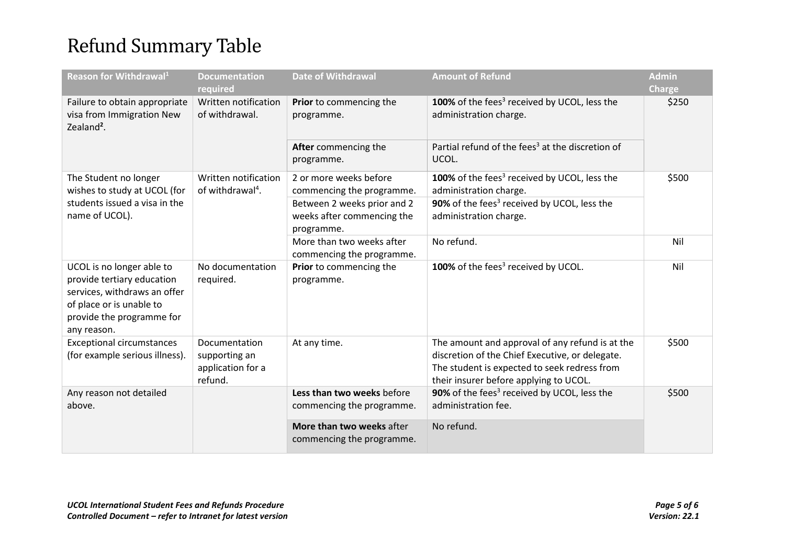# Refund Summary Table

| Reason for Withdrawal <sup>1</sup>                                                                                                                              | <b>Documentation</b><br>required                               | <b>Date of Withdrawal</b>                                                                                                      | <b>Amount of Refund</b>                                                                                                                                                                      | <b>Admin</b><br><b>Charge</b> |
|-----------------------------------------------------------------------------------------------------------------------------------------------------------------|----------------------------------------------------------------|--------------------------------------------------------------------------------------------------------------------------------|----------------------------------------------------------------------------------------------------------------------------------------------------------------------------------------------|-------------------------------|
| Failure to obtain appropriate<br>visa from Immigration New<br>Zealand <sup>2</sup> .                                                                            | Written notification<br>of withdrawal.                         | Prior to commencing the<br>programme.                                                                                          | 100% of the fees <sup>3</sup> received by UCOL, less the<br>administration charge.                                                                                                           | \$250                         |
|                                                                                                                                                                 |                                                                | After commencing the<br>programme.                                                                                             | Partial refund of the fees <sup>3</sup> at the discretion of<br>UCOL.                                                                                                                        |                               |
| The Student no longer<br>wishes to study at UCOL (for<br>students issued a visa in the<br>name of UCOL).                                                        | Written notification<br>of withdrawal <sup>4</sup> .           | 2 or more weeks before<br>commencing the programme.<br>Between 2 weeks prior and 2<br>weeks after commencing the<br>programme. | 100% of the fees <sup>3</sup> received by UCOL, less the<br>administration charge.<br>90% of the fees <sup>3</sup> received by UCOL, less the<br>administration charge.                      | \$500                         |
|                                                                                                                                                                 |                                                                | More than two weeks after<br>commencing the programme.                                                                         | No refund.                                                                                                                                                                                   | Nil                           |
| UCOL is no longer able to<br>provide tertiary education<br>services, withdraws an offer<br>of place or is unable to<br>provide the programme for<br>any reason. | No documentation<br>required.                                  | Prior to commencing the<br>programme.                                                                                          | 100% of the fees <sup>3</sup> received by UCOL.                                                                                                                                              | Nil                           |
| <b>Exceptional circumstances</b><br>(for example serious illness).                                                                                              | Documentation<br>supporting an<br>application for a<br>refund. | At any time.                                                                                                                   | The amount and approval of any refund is at the<br>discretion of the Chief Executive, or delegate.<br>The student is expected to seek redress from<br>their insurer before applying to UCOL. | \$500                         |
| Any reason not detailed<br>above.                                                                                                                               |                                                                | Less than two weeks before<br>commencing the programme.                                                                        | 90% of the fees <sup>3</sup> received by UCOL, less the<br>administration fee.                                                                                                               | \$500                         |
|                                                                                                                                                                 |                                                                | More than two weeks after<br>commencing the programme.                                                                         | No refund.                                                                                                                                                                                   |                               |